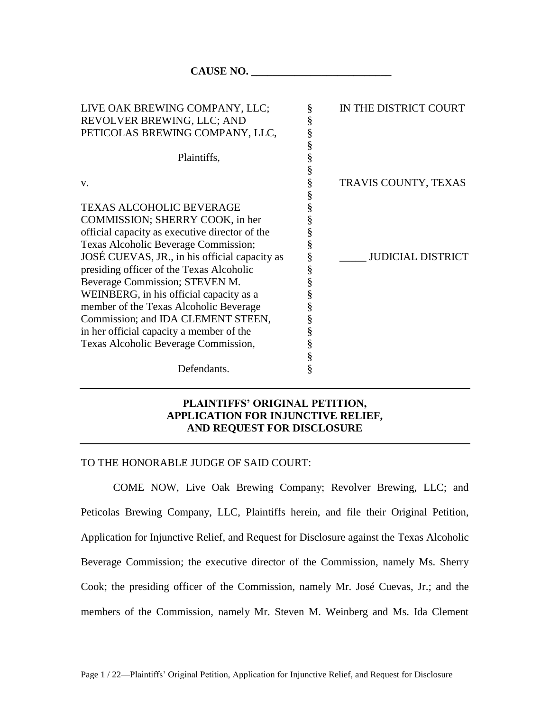**CAUSE NO. \_\_\_\_\_\_\_\_\_\_\_\_\_\_\_\_\_\_\_\_\_\_\_\_\_\_**

| LIVE OAK BREWING COMPANY, LLC;                 | §                | IN THE DISTRICT COURT    |
|------------------------------------------------|------------------|--------------------------|
| REVOLVER BREWING, LLC; AND                     | §                |                          |
| PETICOLAS BREWING COMPANY, LLC,                | §                |                          |
|                                                |                  |                          |
| Plaintiffs,                                    | §<br>§           |                          |
|                                                | §                |                          |
| V.                                             | §                | TRAVIS COUNTY, TEXAS     |
|                                                | §                |                          |
| <b>TEXAS ALCOHOLIC BEVERAGE</b>                | §                |                          |
| COMMISSION; SHERRY COOK, in her                |                  |                          |
| official capacity as executive director of the | §                |                          |
| Texas Alcoholic Beverage Commission;           | §                |                          |
| JOSÉ CUEVAS, JR., in his official capacity as  | §                | <b>JUDICIAL DISTRICT</b> |
| presiding officer of the Texas Alcoholic       | §                |                          |
| Beverage Commission; STEVEN M.                 | §                |                          |
| WEINBERG, in his official capacity as a        | §                |                          |
| member of the Texas Alcoholic Beverage         | §                |                          |
| Commission; and IDA CLEMENT STEEN,             | §                |                          |
| in her official capacity a member of the       | §                |                          |
| Texas Alcoholic Beverage Commission,           |                  |                          |
|                                                |                  |                          |
| Defendants.                                    | S<br>S<br>S<br>S |                          |
|                                                |                  |                          |

# **PLAINTIFFS' ORIGINAL PETITION, APPLICATION FOR INJUNCTIVE RELIEF, AND REQUEST FOR DISCLOSURE**

## TO THE HONORABLE JUDGE OF SAID COURT:

COME NOW, Live Oak Brewing Company; Revolver Brewing, LLC; and Peticolas Brewing Company, LLC, Plaintiffs herein, and file their Original Petition, Application for Injunctive Relief, and Request for Disclosure against the Texas Alcoholic Beverage Commission; the executive director of the Commission, namely Ms. Sherry Cook; the presiding officer of the Commission, namely Mr. José Cuevas, Jr.; and the members of the Commission, namely Mr. Steven M. Weinberg and Ms. Ida Clement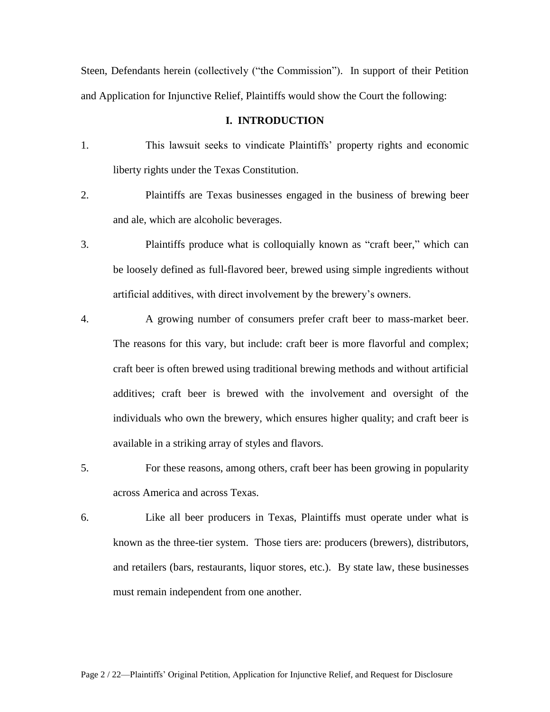Steen, Defendants herein (collectively ("the Commission"). In support of their Petition and Application for Injunctive Relief, Plaintiffs would show the Court the following:

## **I. INTRODUCTION**

- 1. This lawsuit seeks to vindicate Plaintiffs' property rights and economic liberty rights under the Texas Constitution.
- 2. Plaintiffs are Texas businesses engaged in the business of brewing beer and ale, which are alcoholic beverages.
- 3. Plaintiffs produce what is colloquially known as "craft beer," which can be loosely defined as full-flavored beer, brewed using simple ingredients without artificial additives, with direct involvement by the brewery's owners.
- 4. A growing number of consumers prefer craft beer to mass-market beer. The reasons for this vary, but include: craft beer is more flavorful and complex; craft beer is often brewed using traditional brewing methods and without artificial additives; craft beer is brewed with the involvement and oversight of the individuals who own the brewery, which ensures higher quality; and craft beer is available in a striking array of styles and flavors.
- 5. For these reasons, among others, craft beer has been growing in popularity across America and across Texas.
- 6. Like all beer producers in Texas, Plaintiffs must operate under what is known as the three-tier system. Those tiers are: producers (brewers), distributors, and retailers (bars, restaurants, liquor stores, etc.). By state law, these businesses must remain independent from one another.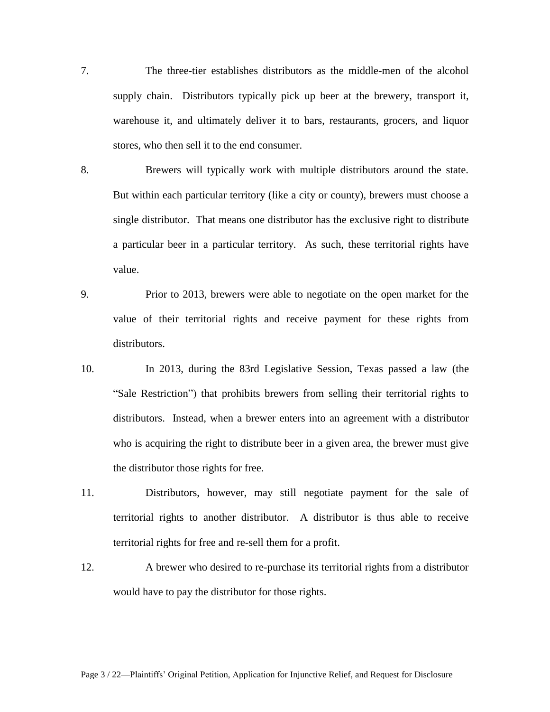- 7. The three-tier establishes distributors as the middle-men of the alcohol supply chain. Distributors typically pick up beer at the brewery, transport it, warehouse it, and ultimately deliver it to bars, restaurants, grocers, and liquor stores, who then sell it to the end consumer.
- 8. Brewers will typically work with multiple distributors around the state. But within each particular territory (like a city or county), brewers must choose a single distributor. That means one distributor has the exclusive right to distribute a particular beer in a particular territory. As such, these territorial rights have value.
- 9. Prior to 2013, brewers were able to negotiate on the open market for the value of their territorial rights and receive payment for these rights from distributors.
- 10. In 2013, during the 83rd Legislative Session, Texas passed a law (the "Sale Restriction") that prohibits brewers from selling their territorial rights to distributors. Instead, when a brewer enters into an agreement with a distributor who is acquiring the right to distribute beer in a given area, the brewer must give the distributor those rights for free.
- 11. Distributors, however, may still negotiate payment for the sale of territorial rights to another distributor. A distributor is thus able to receive territorial rights for free and re-sell them for a profit.
- 12. A brewer who desired to re-purchase its territorial rights from a distributor would have to pay the distributor for those rights.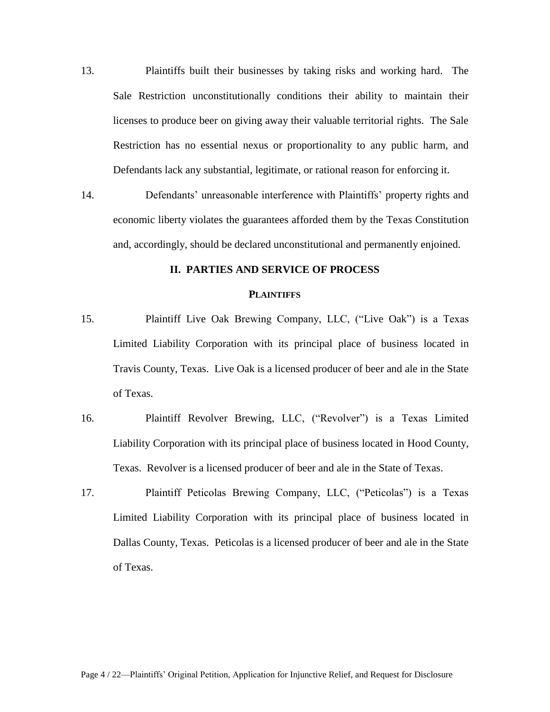- 13. Plaintiffs built their businesses by taking risks and working hard. The Sale Restriction unconstitutionally conditions their ability to maintain their licenses to produce beer on giving away their valuable territorial rights. The Sale Restriction has no essential nexus or proportionality to any public harm, and Defendants lack any substantial, legitimate, or rational reason for enforcing it.
- 14. Defendants' unreasonable interference with Plaintiffs' property rights and economic liberty violates the guarantees afforded them by the Texas Constitution and, accordingly, should be declared unconstitutional and permanently enjoined.

## **II. PARTIES AND SERVICE OF PROCESS**

#### **PLAINTIFFS**

- 15. Plaintiff Live Oak Brewing Company, LLC, ("Live Oak") is a Texas Limited Liability Corporation with its principal place of business located in Travis County, Texas. Live Oak is a licensed producer of beer and ale in the State of Texas.
- 16. Plaintiff Revolver Brewing, LLC, ("Revolver") is a Texas Limited Liability Corporation with its principal place of business located in Hood County, Texas. Revolver is a licensed producer of beer and ale in the State of Texas.
- 17. Plaintiff Peticolas Brewing Company, LLC, ("Peticolas") is a Texas Limited Liability Corporation with its principal place of business located in Dallas County, Texas. Peticolas is a licensed producer of beer and ale in the State of Texas.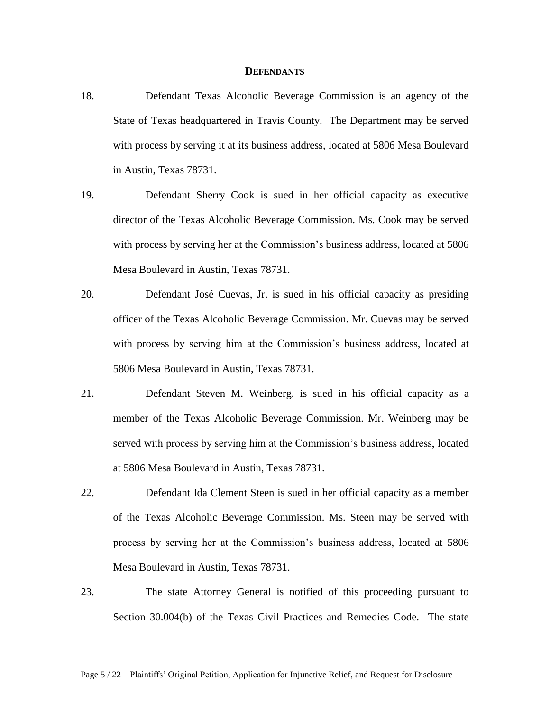### **DEFENDANTS**

- 18. Defendant Texas Alcoholic Beverage Commission is an agency of the State of Texas headquartered in Travis County. The Department may be served with process by serving it at its business address, located at 5806 Mesa Boulevard in Austin, Texas 78731.
- 19. Defendant Sherry Cook is sued in her official capacity as executive director of the Texas Alcoholic Beverage Commission. Ms. Cook may be served with process by serving her at the Commission's business address, located at 5806 Mesa Boulevard in Austin, Texas 78731.
- 20. Defendant José Cuevas, Jr. is sued in his official capacity as presiding officer of the Texas Alcoholic Beverage Commission. Mr. Cuevas may be served with process by serving him at the Commission's business address, located at 5806 Mesa Boulevard in Austin, Texas 78731.
- 21. Defendant Steven M. Weinberg. is sued in his official capacity as a member of the Texas Alcoholic Beverage Commission. Mr. Weinberg may be served with process by serving him at the Commission's business address, located at 5806 Mesa Boulevard in Austin, Texas 78731.
- 22. Defendant Ida Clement Steen is sued in her official capacity as a member of the Texas Alcoholic Beverage Commission. Ms. Steen may be served with process by serving her at the Commission's business address, located at 5806 Mesa Boulevard in Austin, Texas 78731.
- 23. The state Attorney General is notified of this proceeding pursuant to Section 30.004(b) of the Texas Civil Practices and Remedies Code. The state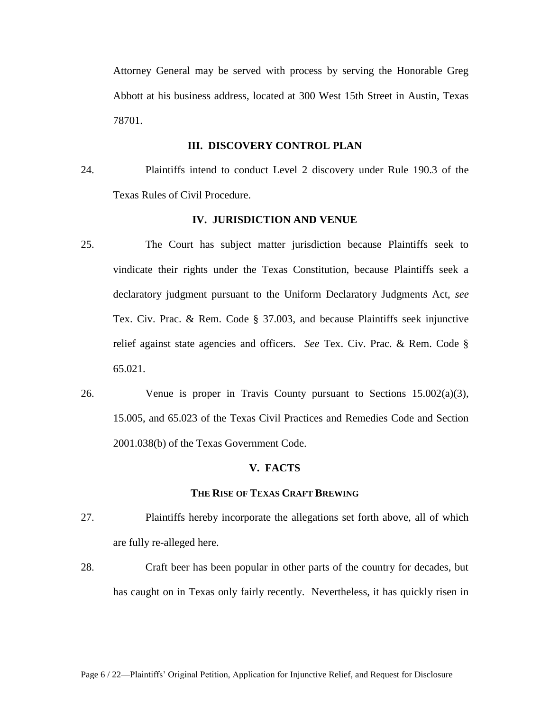Attorney General may be served with process by serving the Honorable Greg Abbott at his business address, located at 300 West 15th Street in Austin, Texas 78701.

## **III. DISCOVERY CONTROL PLAN**

24. Plaintiffs intend to conduct Level 2 discovery under Rule 190.3 of the Texas Rules of Civil Procedure.

## **IV. JURISDICTION AND VENUE**

- 25. The Court has subject matter jurisdiction because Plaintiffs seek to vindicate their rights under the Texas Constitution, because Plaintiffs seek a declaratory judgment pursuant to the Uniform Declaratory Judgments Act, *see*  Tex. Civ. Prac. & Rem. Code § 37.003, and because Plaintiffs seek injunctive relief against state agencies and officers. *See* Tex. Civ. Prac. & Rem. Code § 65.021.
- 26. Venue is proper in Travis County pursuant to Sections 15.002(a)(3), 15.005, and 65.023 of the Texas Civil Practices and Remedies Code and Section 2001.038(b) of the Texas Government Code.

#### **V. FACTS**

### **THE RISE OF TEXAS CRAFT BREWING**

- 27. Plaintiffs hereby incorporate the allegations set forth above, all of which are fully re-alleged here.
- 28. Craft beer has been popular in other parts of the country for decades, but has caught on in Texas only fairly recently. Nevertheless, it has quickly risen in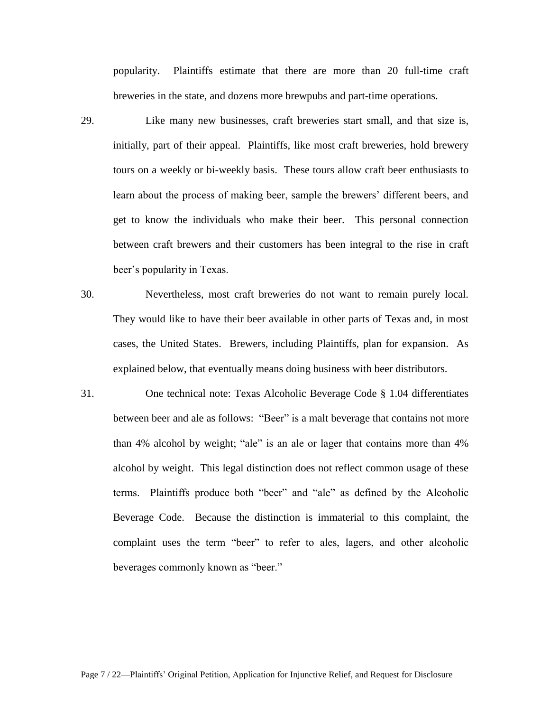popularity. Plaintiffs estimate that there are more than 20 full-time craft breweries in the state, and dozens more brewpubs and part-time operations.

- 29. Like many new businesses, craft breweries start small, and that size is, initially, part of their appeal. Plaintiffs, like most craft breweries, hold brewery tours on a weekly or bi-weekly basis. These tours allow craft beer enthusiasts to learn about the process of making beer, sample the brewers' different beers, and get to know the individuals who make their beer. This personal connection between craft brewers and their customers has been integral to the rise in craft beer's popularity in Texas.
- 30. Nevertheless, most craft breweries do not want to remain purely local. They would like to have their beer available in other parts of Texas and, in most cases, the United States. Brewers, including Plaintiffs, plan for expansion. As explained below, that eventually means doing business with beer distributors.
- 31. One technical note: Texas Alcoholic Beverage Code § 1.04 differentiates between beer and ale as follows: "Beer" is a malt beverage that contains not more than 4% alcohol by weight; "ale" is an ale or lager that contains more than 4% alcohol by weight. This legal distinction does not reflect common usage of these terms. Plaintiffs produce both "beer" and "ale" as defined by the Alcoholic Beverage Code. Because the distinction is immaterial to this complaint, the complaint uses the term "beer" to refer to ales, lagers, and other alcoholic beverages commonly known as "beer."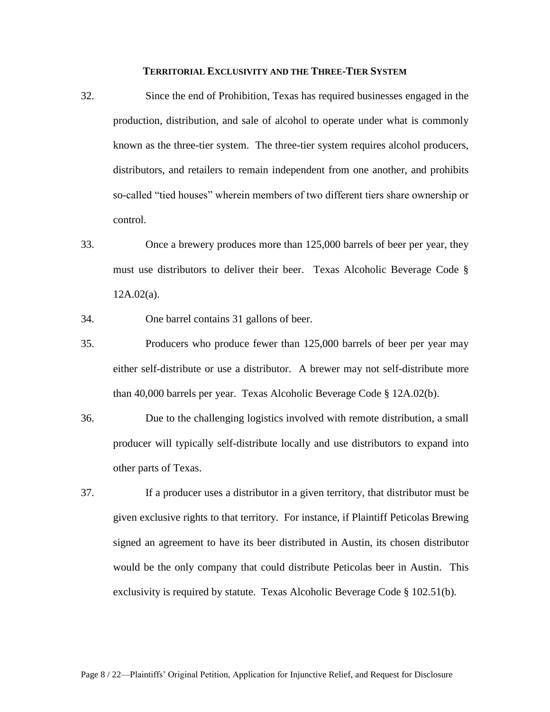#### **TERRITORIAL EXCLUSIVITY AND THE THREE-TIER SYSTEM**

- 32. Since the end of Prohibition, Texas has required businesses engaged in the production, distribution, and sale of alcohol to operate under what is commonly known as the three-tier system. The three-tier system requires alcohol producers, distributors, and retailers to remain independent from one another, and prohibits so-called "tied houses" wherein members of two different tiers share ownership or control.
- 33. Once a brewery produces more than 125,000 barrels of beer per year, they must use distributors to deliver their beer. Texas Alcoholic Beverage Code § 12A.02(a).
- 34. One barrel contains 31 gallons of beer.
- 35. Producers who produce fewer than 125,000 barrels of beer per year may either self-distribute or use a distributor. A brewer may not self-distribute more than 40,000 barrels per year. Texas Alcoholic Beverage Code § 12A.02(b).
- 36. Due to the challenging logistics involved with remote distribution, a small producer will typically self-distribute locally and use distributors to expand into other parts of Texas.
- 37. If a producer uses a distributor in a given territory, that distributor must be given exclusive rights to that territory. For instance, if Plaintiff Peticolas Brewing signed an agreement to have its beer distributed in Austin, its chosen distributor would be the only company that could distribute Peticolas beer in Austin. This exclusivity is required by statute. Texas Alcoholic Beverage Code § 102.51(b).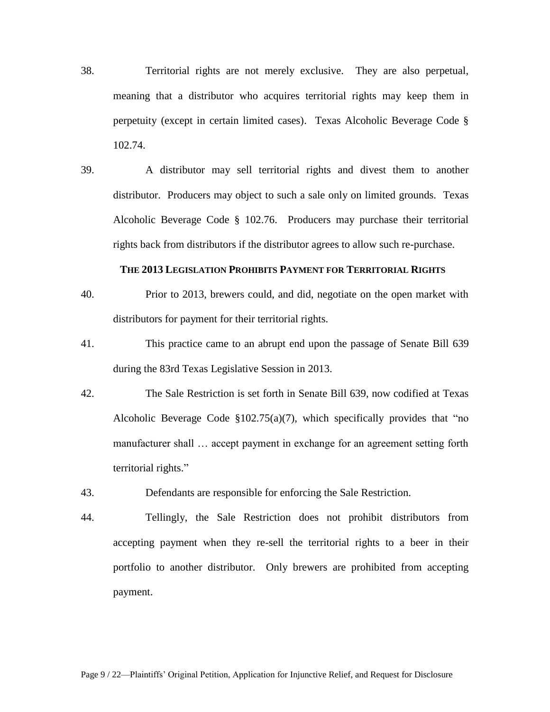- 38. Territorial rights are not merely exclusive. They are also perpetual, meaning that a distributor who acquires territorial rights may keep them in perpetuity (except in certain limited cases). Texas Alcoholic Beverage Code § 102.74.
- 39. A distributor may sell territorial rights and divest them to another distributor. Producers may object to such a sale only on limited grounds. Texas Alcoholic Beverage Code § 102.76. Producers may purchase their territorial rights back from distributors if the distributor agrees to allow such re-purchase.

### **THE 2013 LEGISLATION PROHIBITS PAYMENT FOR TERRITORIAL RIGHTS**

- 40. Prior to 2013, brewers could, and did, negotiate on the open market with distributors for payment for their territorial rights.
- 41. This practice came to an abrupt end upon the passage of Senate Bill 639 during the 83rd Texas Legislative Session in 2013.
- 42. The Sale Restriction is set forth in Senate Bill 639, now codified at Texas Alcoholic Beverage Code  $\S 102.75(a)(7)$ , which specifically provides that "no manufacturer shall … accept payment in exchange for an agreement setting forth territorial rights."
- 43. Defendants are responsible for enforcing the Sale Restriction.
- 44. Tellingly, the Sale Restriction does not prohibit distributors from accepting payment when they re-sell the territorial rights to a beer in their portfolio to another distributor. Only brewers are prohibited from accepting payment.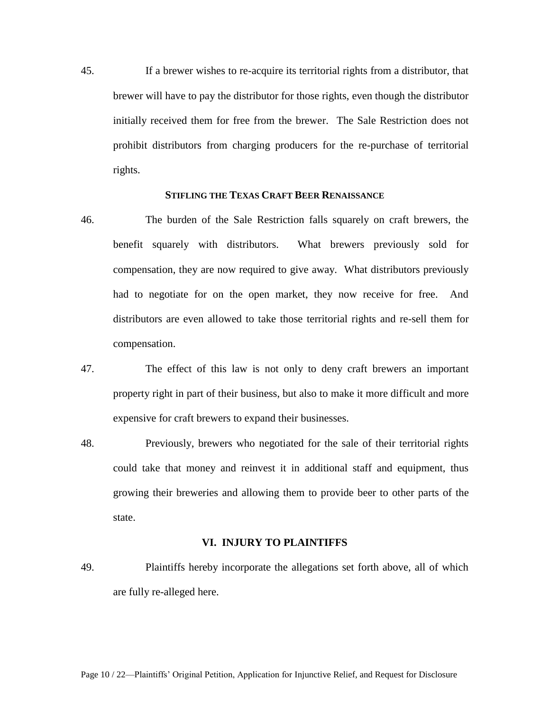45. If a brewer wishes to re-acquire its territorial rights from a distributor, that brewer will have to pay the distributor for those rights, even though the distributor initially received them for free from the brewer. The Sale Restriction does not prohibit distributors from charging producers for the re-purchase of territorial rights.

## **STIFLING THE TEXAS CRAFT BEER RENAISSANCE**

- 46. The burden of the Sale Restriction falls squarely on craft brewers, the benefit squarely with distributors. What brewers previously sold for compensation, they are now required to give away. What distributors previously had to negotiate for on the open market, they now receive for free. And distributors are even allowed to take those territorial rights and re-sell them for compensation.
- 47. The effect of this law is not only to deny craft brewers an important property right in part of their business, but also to make it more difficult and more expensive for craft brewers to expand their businesses.
- 48. Previously, brewers who negotiated for the sale of their territorial rights could take that money and reinvest it in additional staff and equipment, thus growing their breweries and allowing them to provide beer to other parts of the state.

## **VI. INJURY TO PLAINTIFFS**

49. Plaintiffs hereby incorporate the allegations set forth above, all of which are fully re-alleged here.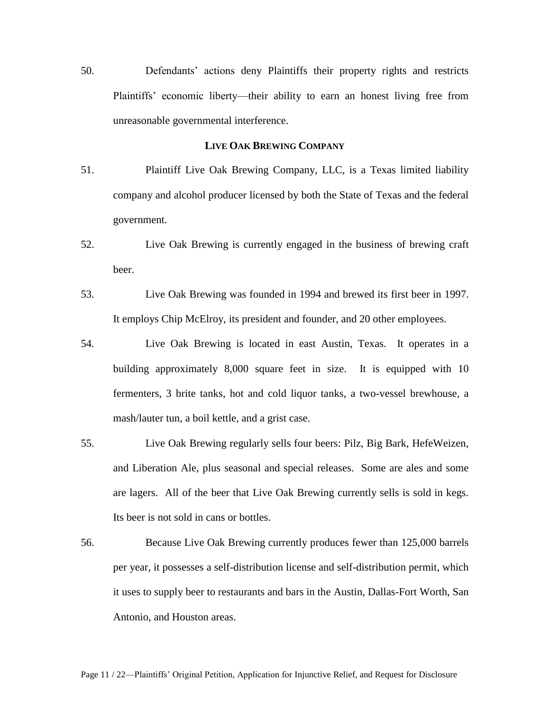50. Defendants' actions deny Plaintiffs their property rights and restricts Plaintiffs' economic liberty—their ability to earn an honest living free from unreasonable governmental interference.

## **LIVE OAK BREWING COMPANY**

- 51. Plaintiff Live Oak Brewing Company, LLC, is a Texas limited liability company and alcohol producer licensed by both the State of Texas and the federal government.
- 52. Live Oak Brewing is currently engaged in the business of brewing craft beer.
- 53. Live Oak Brewing was founded in 1994 and brewed its first beer in 1997. It employs Chip McElroy, its president and founder, and 20 other employees.
- 54. Live Oak Brewing is located in east Austin, Texas. It operates in a building approximately 8,000 square feet in size. It is equipped with 10 fermenters, 3 brite tanks, hot and cold liquor tanks, a two-vessel brewhouse, a mash/lauter tun, a boil kettle, and a grist case.
- 55. Live Oak Brewing regularly sells four beers: Pilz, Big Bark, HefeWeizen, and Liberation Ale, plus seasonal and special releases. Some are ales and some are lagers. All of the beer that Live Oak Brewing currently sells is sold in kegs. Its beer is not sold in cans or bottles.
- 56. Because Live Oak Brewing currently produces fewer than 125,000 barrels per year, it possesses a self-distribution license and self-distribution permit, which it uses to supply beer to restaurants and bars in the Austin, Dallas-Fort Worth, San Antonio, and Houston areas.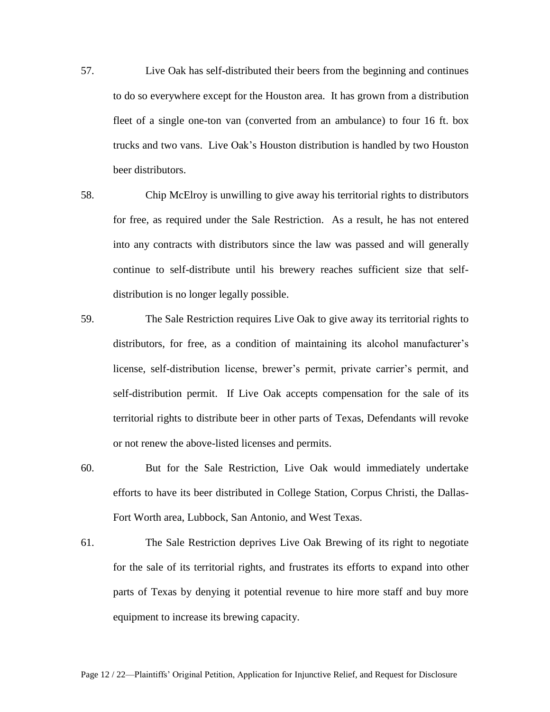- 57. Live Oak has self-distributed their beers from the beginning and continues to do so everywhere except for the Houston area. It has grown from a distribution fleet of a single one-ton van (converted from an ambulance) to four 16 ft. box trucks and two vans. Live Oak's Houston distribution is handled by two Houston beer distributors.
- 58. Chip McElroy is unwilling to give away his territorial rights to distributors for free, as required under the Sale Restriction. As a result, he has not entered into any contracts with distributors since the law was passed and will generally continue to self-distribute until his brewery reaches sufficient size that selfdistribution is no longer legally possible.
- 59. The Sale Restriction requires Live Oak to give away its territorial rights to distributors, for free, as a condition of maintaining its alcohol manufacturer's license, self-distribution license, brewer's permit, private carrier's permit, and self-distribution permit. If Live Oak accepts compensation for the sale of its territorial rights to distribute beer in other parts of Texas, Defendants will revoke or not renew the above-listed licenses and permits.
- 60. But for the Sale Restriction, Live Oak would immediately undertake efforts to have its beer distributed in College Station, Corpus Christi, the Dallas-Fort Worth area, Lubbock, San Antonio, and West Texas.
- 61. The Sale Restriction deprives Live Oak Brewing of its right to negotiate for the sale of its territorial rights, and frustrates its efforts to expand into other parts of Texas by denying it potential revenue to hire more staff and buy more equipment to increase its brewing capacity.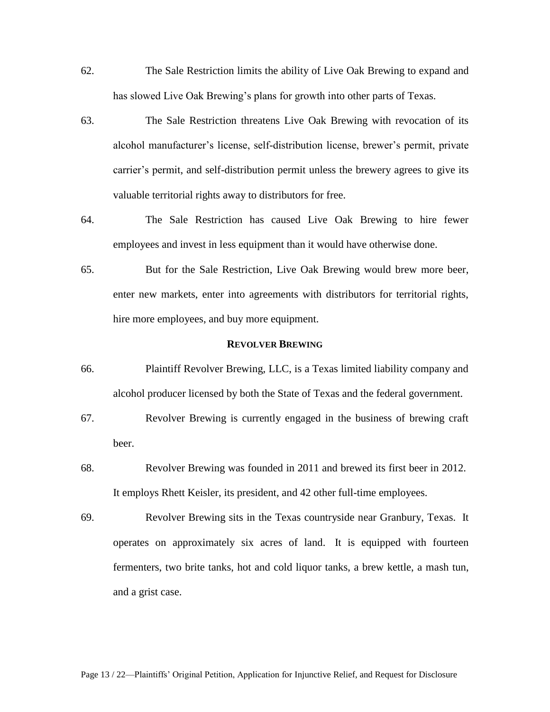- 62. The Sale Restriction limits the ability of Live Oak Brewing to expand and has slowed Live Oak Brewing's plans for growth into other parts of Texas.
- 63. The Sale Restriction threatens Live Oak Brewing with revocation of its alcohol manufacturer's license, self-distribution license, brewer's permit, private carrier's permit, and self-distribution permit unless the brewery agrees to give its valuable territorial rights away to distributors for free.
- 64. The Sale Restriction has caused Live Oak Brewing to hire fewer employees and invest in less equipment than it would have otherwise done.
- 65. But for the Sale Restriction, Live Oak Brewing would brew more beer, enter new markets, enter into agreements with distributors for territorial rights, hire more employees, and buy more equipment.

#### **REVOLVER BREWING**

- 66. Plaintiff Revolver Brewing, LLC, is a Texas limited liability company and alcohol producer licensed by both the State of Texas and the federal government.
- 67. Revolver Brewing is currently engaged in the business of brewing craft beer.
- 68. Revolver Brewing was founded in 2011 and brewed its first beer in 2012. It employs Rhett Keisler, its president, and 42 other full-time employees.
- 69. Revolver Brewing sits in the Texas countryside near Granbury, Texas. It operates on approximately six acres of land. It is equipped with fourteen fermenters, two brite tanks, hot and cold liquor tanks, a brew kettle, a mash tun, and a grist case.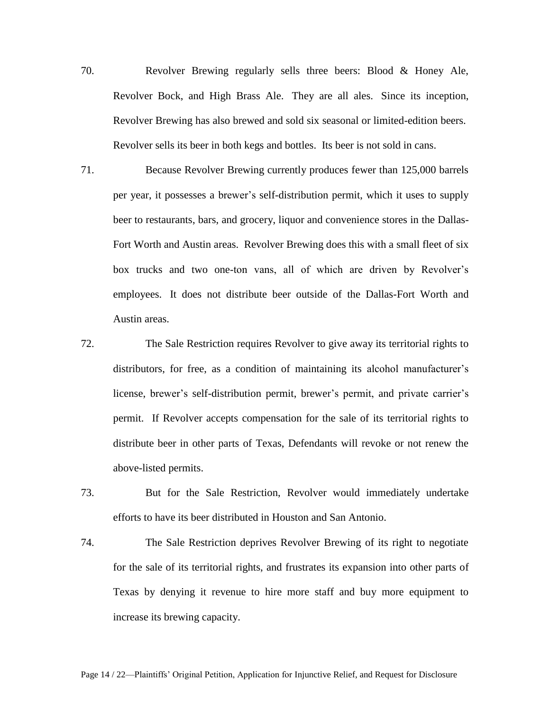- 70. Revolver Brewing regularly sells three beers: Blood & Honey Ale, Revolver Bock, and High Brass Ale. They are all ales. Since its inception, Revolver Brewing has also brewed and sold six seasonal or limited-edition beers. Revolver sells its beer in both kegs and bottles. Its beer is not sold in cans.
- 71. Because Revolver Brewing currently produces fewer than 125,000 barrels per year, it possesses a brewer's self-distribution permit, which it uses to supply beer to restaurants, bars, and grocery, liquor and convenience stores in the Dallas-Fort Worth and Austin areas. Revolver Brewing does this with a small fleet of six box trucks and two one-ton vans, all of which are driven by Revolver's employees. It does not distribute beer outside of the Dallas-Fort Worth and Austin areas.
- 72. The Sale Restriction requires Revolver to give away its territorial rights to distributors, for free, as a condition of maintaining its alcohol manufacturer's license, brewer's self-distribution permit, brewer's permit, and private carrier's permit. If Revolver accepts compensation for the sale of its territorial rights to distribute beer in other parts of Texas, Defendants will revoke or not renew the above-listed permits.
- 73. But for the Sale Restriction, Revolver would immediately undertake efforts to have its beer distributed in Houston and San Antonio.
- 74. The Sale Restriction deprives Revolver Brewing of its right to negotiate for the sale of its territorial rights, and frustrates its expansion into other parts of Texas by denying it revenue to hire more staff and buy more equipment to increase its brewing capacity.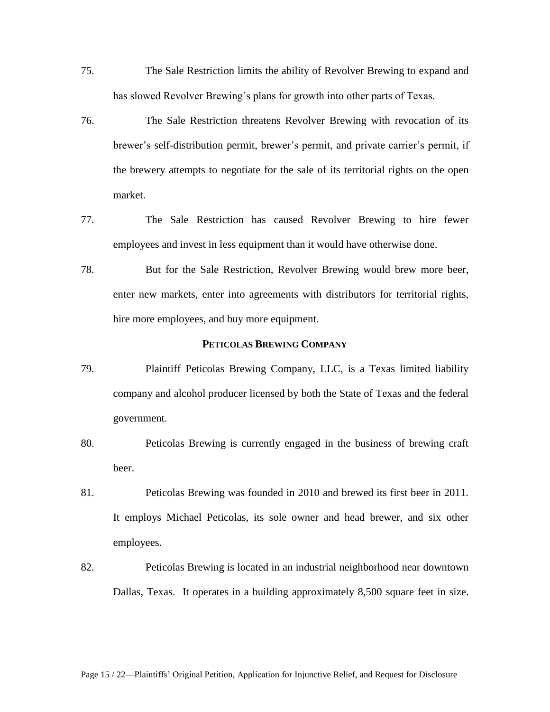- 75. The Sale Restriction limits the ability of Revolver Brewing to expand and has slowed Revolver Brewing's plans for growth into other parts of Texas.
- 76. The Sale Restriction threatens Revolver Brewing with revocation of its brewer's self-distribution permit, brewer's permit, and private carrier's permit, if the brewery attempts to negotiate for the sale of its territorial rights on the open market.
- 77. The Sale Restriction has caused Revolver Brewing to hire fewer employees and invest in less equipment than it would have otherwise done.
- 78. But for the Sale Restriction, Revolver Brewing would brew more beer, enter new markets, enter into agreements with distributors for territorial rights, hire more employees, and buy more equipment.

### **PETICOLAS BREWING COMPANY**

- 79. Plaintiff Peticolas Brewing Company, LLC, is a Texas limited liability company and alcohol producer licensed by both the State of Texas and the federal government.
- 80. Peticolas Brewing is currently engaged in the business of brewing craft beer.
- 81. Peticolas Brewing was founded in 2010 and brewed its first beer in 2011. It employs Michael Peticolas, its sole owner and head brewer, and six other employees.
- 82. Peticolas Brewing is located in an industrial neighborhood near downtown Dallas, Texas. It operates in a building approximately 8,500 square feet in size.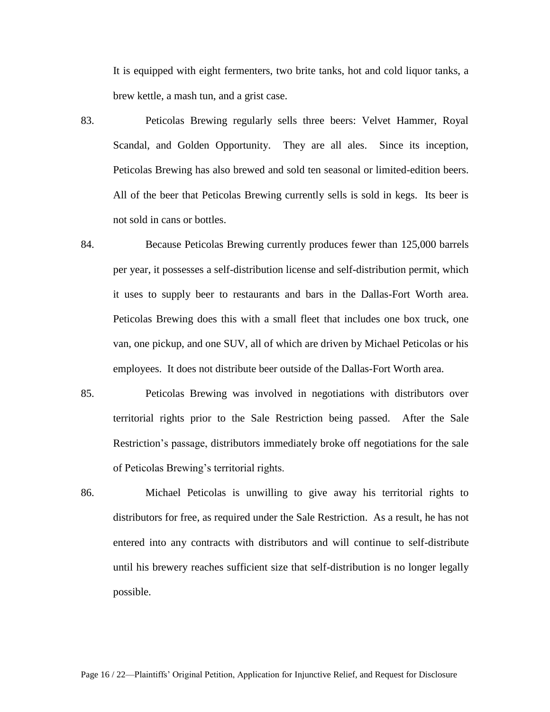It is equipped with eight fermenters, two brite tanks, hot and cold liquor tanks, a brew kettle, a mash tun, and a grist case.

- 83. Peticolas Brewing regularly sells three beers: Velvet Hammer, Royal Scandal, and Golden Opportunity. They are all ales. Since its inception, Peticolas Brewing has also brewed and sold ten seasonal or limited-edition beers. All of the beer that Peticolas Brewing currently sells is sold in kegs. Its beer is not sold in cans or bottles.
- 84. Because Peticolas Brewing currently produces fewer than 125,000 barrels per year, it possesses a self-distribution license and self-distribution permit, which it uses to supply beer to restaurants and bars in the Dallas-Fort Worth area. Peticolas Brewing does this with a small fleet that includes one box truck, one van, one pickup, and one SUV, all of which are driven by Michael Peticolas or his employees. It does not distribute beer outside of the Dallas-Fort Worth area.
- 85. Peticolas Brewing was involved in negotiations with distributors over territorial rights prior to the Sale Restriction being passed. After the Sale Restriction's passage, distributors immediately broke off negotiations for the sale of Peticolas Brewing's territorial rights.
- 86. Michael Peticolas is unwilling to give away his territorial rights to distributors for free, as required under the Sale Restriction. As a result, he has not entered into any contracts with distributors and will continue to self-distribute until his brewery reaches sufficient size that self-distribution is no longer legally possible.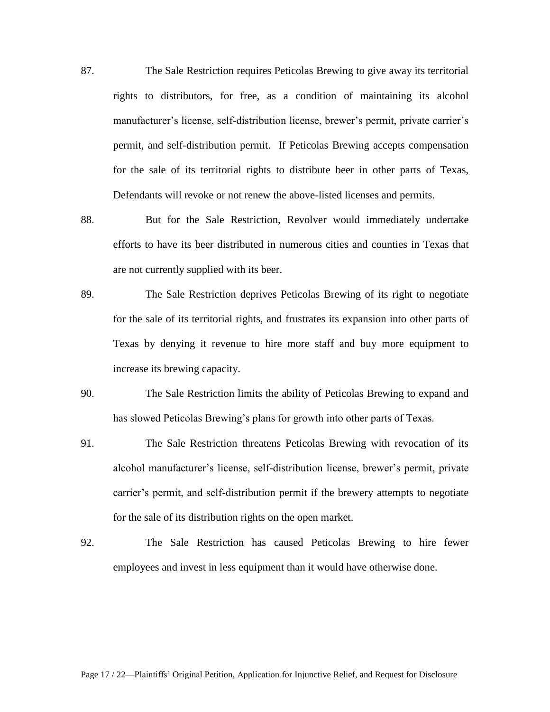- 87. The Sale Restriction requires Peticolas Brewing to give away its territorial rights to distributors, for free, as a condition of maintaining its alcohol manufacturer's license, self-distribution license, brewer's permit, private carrier's permit, and self-distribution permit. If Peticolas Brewing accepts compensation for the sale of its territorial rights to distribute beer in other parts of Texas, Defendants will revoke or not renew the above-listed licenses and permits.
- 88. But for the Sale Restriction, Revolver would immediately undertake efforts to have its beer distributed in numerous cities and counties in Texas that are not currently supplied with its beer.
- 89. The Sale Restriction deprives Peticolas Brewing of its right to negotiate for the sale of its territorial rights, and frustrates its expansion into other parts of Texas by denying it revenue to hire more staff and buy more equipment to increase its brewing capacity.
- 90. The Sale Restriction limits the ability of Peticolas Brewing to expand and has slowed Peticolas Brewing's plans for growth into other parts of Texas.
- 91. The Sale Restriction threatens Peticolas Brewing with revocation of its alcohol manufacturer's license, self-distribution license, brewer's permit, private carrier's permit, and self-distribution permit if the brewery attempts to negotiate for the sale of its distribution rights on the open market.
- 92. The Sale Restriction has caused Peticolas Brewing to hire fewer employees and invest in less equipment than it would have otherwise done.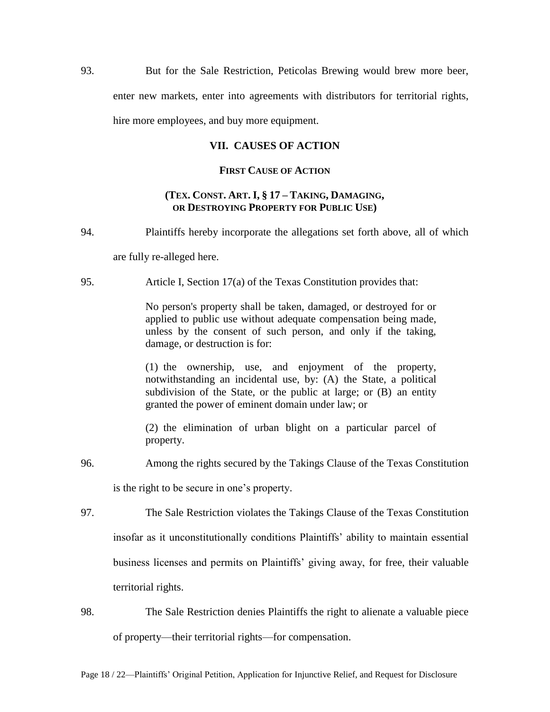93. But for the Sale Restriction, Peticolas Brewing would brew more beer,

enter new markets, enter into agreements with distributors for territorial rights,

hire more employees, and buy more equipment.

## **VII. CAUSES OF ACTION**

## **FIRST CAUSE OF ACTION**

## **(TEX. CONST. ART. I, § 17 – TAKING, DAMAGING, OR DESTROYING PROPERTY FOR PUBLIC USE)**

94. Plaintiffs hereby incorporate the allegations set forth above, all of which

are fully re-alleged here.

95. Article I, Section 17(a) of the Texas Constitution provides that:

No person's property shall be taken, damaged, or destroyed for or applied to public use without adequate compensation being made, unless by the consent of such person, and only if the taking, damage, or destruction is for:

(1) the ownership, use, and enjoyment of the property, notwithstanding an incidental use, by: (A) the State, a political subdivision of the State, or the public at large; or (B) an entity granted the power of eminent domain under law; or

(2) the elimination of urban blight on a particular parcel of property.

96. Among the rights secured by the Takings Clause of the Texas Constitution

is the right to be secure in one's property.

- 97. The Sale Restriction violates the Takings Clause of the Texas Constitution insofar as it unconstitutionally conditions Plaintiffs' ability to maintain essential business licenses and permits on Plaintiffs' giving away, for free, their valuable territorial rights.
- 98. The Sale Restriction denies Plaintiffs the right to alienate a valuable piece of property—their territorial rights—for compensation.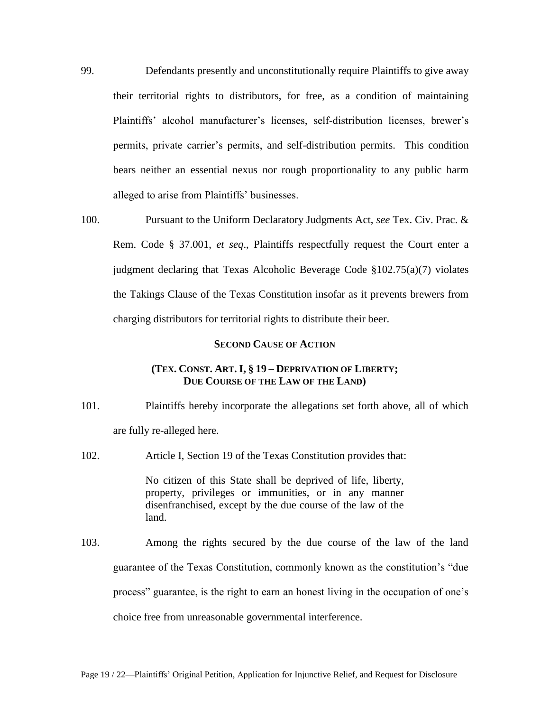- 99. Defendants presently and unconstitutionally require Plaintiffs to give away their territorial rights to distributors, for free, as a condition of maintaining Plaintiffs' alcohol manufacturer's licenses, self-distribution licenses, brewer's permits, private carrier's permits, and self-distribution permits. This condition bears neither an essential nexus nor rough proportionality to any public harm alleged to arise from Plaintiffs' businesses.
- 100. Pursuant to the Uniform Declaratory Judgments Act, *see* Tex. Civ. Prac. & Rem. Code § 37.001, *et seq*., Plaintiffs respectfully request the Court enter a judgment declaring that Texas Alcoholic Beverage Code §102.75(a)(7) violates the Takings Clause of the Texas Constitution insofar as it prevents brewers from charging distributors for territorial rights to distribute their beer.

### **SECOND CAUSE OF ACTION**

## **(TEX. CONST. ART. I, § 19 – DEPRIVATION OF LIBERTY; DUE COURSE OF THE LAW OF THE LAND)**

101. Plaintiffs hereby incorporate the allegations set forth above, all of which are fully re-alleged here.

102. Article I, Section 19 of the Texas Constitution provides that:

No citizen of this State shall be deprived of life, liberty, property, privileges or immunities, or in any manner disenfranchised, except by the due course of the law of the land. 103. Among the rights secured by the due course of the law of the land guarantee of the Texas Constitution, commonly known as the constitution's "due process" guarantee, is the right to earn an honest living in the occupation of one's choice free from unreasonable governmental interference.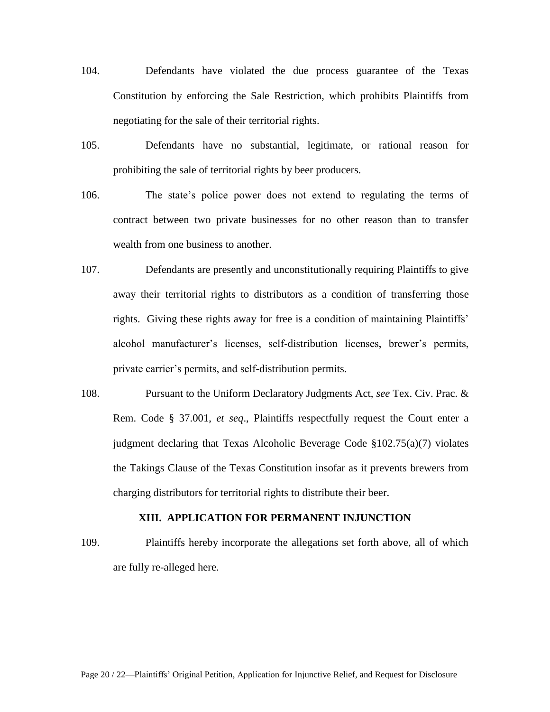- 104. Defendants have violated the due process guarantee of the Texas Constitution by enforcing the Sale Restriction, which prohibits Plaintiffs from negotiating for the sale of their territorial rights.
- 105. Defendants have no substantial, legitimate, or rational reason for prohibiting the sale of territorial rights by beer producers.
- 106. The state's police power does not extend to regulating the terms of contract between two private businesses for no other reason than to transfer wealth from one business to another.
- 107. Defendants are presently and unconstitutionally requiring Plaintiffs to give away their territorial rights to distributors as a condition of transferring those rights. Giving these rights away for free is a condition of maintaining Plaintiffs' alcohol manufacturer's licenses, self-distribution licenses, brewer's permits, private carrier's permits, and self-distribution permits.
- 108. Pursuant to the Uniform Declaratory Judgments Act, *see* Tex. Civ. Prac. & Rem. Code § 37.001, *et seq*., Plaintiffs respectfully request the Court enter a judgment declaring that Texas Alcoholic Beverage Code §102.75(a)(7) violates the Takings Clause of the Texas Constitution insofar as it prevents brewers from charging distributors for territorial rights to distribute their beer.

## **XIII. APPLICATION FOR PERMANENT INJUNCTION**

109. Plaintiffs hereby incorporate the allegations set forth above, all of which are fully re-alleged here.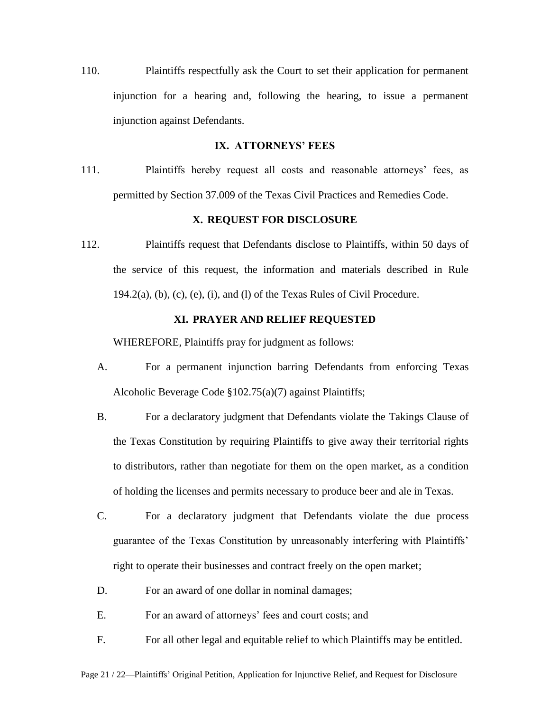110. Plaintiffs respectfully ask the Court to set their application for permanent injunction for a hearing and, following the hearing, to issue a permanent injunction against Defendants.

## **IX. ATTORNEYS' FEES**

111. Plaintiffs hereby request all costs and reasonable attorneys' fees, as permitted by Section 37.009 of the Texas Civil Practices and Remedies Code.

## **X. REQUEST FOR DISCLOSURE**

112. Plaintiffs request that Defendants disclose to Plaintiffs, within 50 days of the service of this request, the information and materials described in Rule  $194.2(a)$ , (b), (c), (e), (i), and (l) of the Texas Rules of Civil Procedure.

## **XI. PRAYER AND RELIEF REQUESTED**

WHEREFORE, Plaintiffs pray for judgment as follows:

- A. For a permanent injunction barring Defendants from enforcing Texas Alcoholic Beverage Code §102.75(a)(7) against Plaintiffs;
- B. For a declaratory judgment that Defendants violate the Takings Clause of the Texas Constitution by requiring Plaintiffs to give away their territorial rights to distributors, rather than negotiate for them on the open market, as a condition of holding the licenses and permits necessary to produce beer and ale in Texas.
- C. For a declaratory judgment that Defendants violate the due process guarantee of the Texas Constitution by unreasonably interfering with Plaintiffs' right to operate their businesses and contract freely on the open market;
- D. For an award of one dollar in nominal damages;
- E. For an award of attorneys' fees and court costs; and
- F. For all other legal and equitable relief to which Plaintiffs may be entitled.